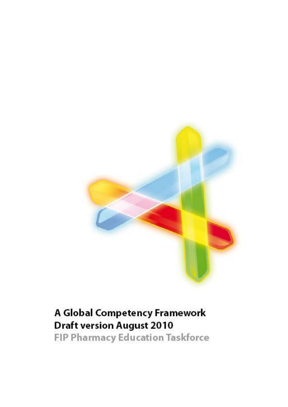

# A Global Competency Framework **Draft version August 2010**

**FIP Pharmacy Education Taskforce**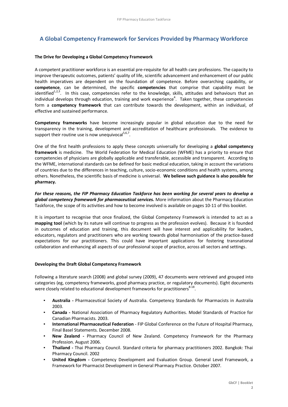# **A Global Competency Framework for Services Provided by Pharmacy Workforce**

# **The Drive for Developing a Global Competency Framework**

A competent practitioner workforce is an essential pre-requisite for all health care professions. The capacity to improve therapeutic outcomes, patients' quality of life, scientific advancement and enhancement of our public health imperatives are dependent on the foundation of competence. Before overarching capability, or **competence**, can be determined, the specific **competencies** that comprise that capability must be identified<sup>1,2,3</sup>. In this case, competencies refer to the knowledge, skills, attitudes and behaviours that an individual develops through education, training and work experience<sup>4</sup>. Taken together, these competencies form a **competency framework** that can contribute towards the development, within an individual, of effective and sustained performance.

**Competency frameworks** have become increasingly popular in global education due to the need for transparency in the training, development and accreditation of healthcare professionals. The evidence to support their routine use is now unequivocal $5.6,7$ .

One of the first health professions to apply these concepts universally for developing a **global competency framework** is medicine. The World Federation for Medical Education (WFME) has a priority to ensure that competencies of physicians are globally applicable and transferable, accessible and transparent. According to the WFME, international standards can be defined for basic medical education, taking in account the variations of countries due to the differences in teaching, culture, socio-economic conditions and health systems, among others. Nonetheless, the scientific basis of medicine is universal. **We believe such guidance is also possible for pharmacy.**

*For these reasons, the FIP Pharmacy Education Taskforce has been working for several years to develop a global competency framework for pharmaceutical services.* More information about the Pharmacy Education Taskforce, the scope of its activities and how to become involved is available on pages 10-11 of this booklet.

It is important to recognise that once finalized, the Global Competency Framework is intended to act as a **mapping tool** (which by its nature will continue to progress as the profession evolves). Because it is founded in outcomes of education and training, this document will have interest and applicability for leaders, educators, regulators and practitioners who are working towards global harmonisation of the practice-based expectations for our practitioners. This could have important applications for fostering transnational collaboration and enhancing all aspects of our professional scope of practice, across all sectors and settings.

# **Developing the Draft Global Competency Framework**

Following a literature search (2008) and global survey (2009), 47 documents were retrieved and grouped into categories (eg, competency frameworks, good pharmacy practice, or regulatory documents). Eight documents were closely related to educational development frameworks for practitioners<sup>8-18</sup>.

- **Australia -** Pharmaceutical Society of Australia. Competency Standards for Pharmacists in Australia 2003.
- **Canada -** National Association of Pharmacy Regulatory Authorities. Model Standards of Practice for Canadian Pharmacists. 2003.
- **International Pharmaceutical Federation** FIP Global Conference on the Future of Hospital Pharmacy, Final Basel Statements. December 2008.
- New Zealand Pharmacy Council of New Zealand. Competency Framework for the Pharmacy Profession. August 2006.
- **Thailand -** Thai Pharmacy Council. Standard criteria for pharmacy practitioners 2002. Bangkok: Thai Pharmacy Council. 2002
- **United Kingdom -** Competency Development and Evaluation Group. General Level Framework, a Framework for Pharmacist Development in General Pharmacy Practice. October 2007.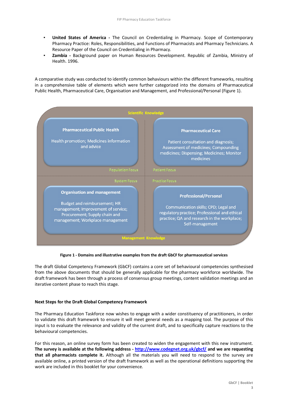- **United States of America** The Council on Credentialing in Pharmacy. Scope of Contemporary Pharmacy Practice: Roles, Responsibilities, and Functions of Pharmacists and Pharmacy Technicians. A Resource Paper of the Council on Credentialing in Pharmacy.
- **Zambia** Background paper on Human Resources Development. Republic of Zambia, Ministry of Health. 1996.

A comparative study was conducted to identify common behaviours within the different frameworks, resulting in a comprehensive table of elements which were further categorized into the domains of Pharmaceutical Public Health, Pharmaceutical Care, Organisation and Management, and Professional/Personal (Figure 1).



**Figure 1 - Domains and illustrative examples from the draft GbCF for pharmaceutical services**

The draft Global Competency Framework (GbCF) contains a core set of behavioural competencies synthesised from the above documents that should be generally applicable for the pharmacy workforce worldwide. The draft framework has been through a process of consensus group meetings, content validation meetings and an iterative content phase to reach this stage.

#### **Next Steps for the Draft Global Competency Framework**

The Pharmacy Education Taskforce now wishes to engage with a wider constituency of practitioners, in order to validate this draft framework to ensure it will meet general needs as a mapping tool. The purpose of this input is to evaluate the relevance and validity of the current draft, and to specifically capture reactions to the behavioural competencies.

For this reason, an online survey form has been created to widen the engagement with this new instrument. **The survey is available at the following address - <http://www.codegnet.org.uk/gbcf/> and we are requesting that all pharmacists complete it.** Although all the materials you will need to respond to the survey are available online, a printed version of the draft framework as well as the operational definitions supporting the work are included in this booklet for your convenience.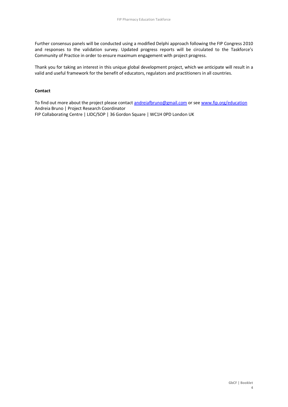Further consensus panels will be conducted using a modified Delphi approach following the FIP Congress 2010 and responses to the validation survey. Updated progress reports will be circulated to the Taskforce's Community of Practice in order to ensure maximum engagement with project progress.

Thank you for taking an interest in this unique global development project, which we anticipate will result in a valid and useful framework for the benefit of educators, regulators and practitioners in all countries.

# **Contact**

To find out more about the project please contact [andreiafbruno@gmail.com](mailto:andreiafbruno@gmail.com) or see [www.fip.org/education](http://www.fip.org/education) Andreia Bruno | Project Research Coordinator FIP Collaborating Centre | LIDC/SOP | 36 Gordon Square | WC1H 0PD London UK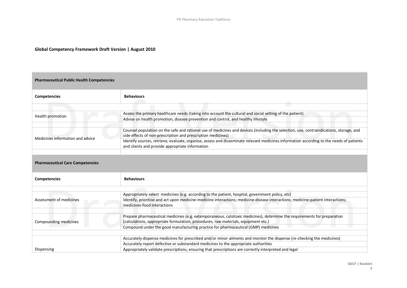# **Global Competency Framework Draft Version | August 2010**

| <b>Pharmaceutical Public Health Competencies</b>               |                                                                                                                                                                                                                                                                                                    |  |
|----------------------------------------------------------------|----------------------------------------------------------------------------------------------------------------------------------------------------------------------------------------------------------------------------------------------------------------------------------------------------|--|
| <b>Competencies</b>                                            | <b>Behaviours</b>                                                                                                                                                                                                                                                                                  |  |
|                                                                |                                                                                                                                                                                                                                                                                                    |  |
|                                                                | Assess the primary healthcare needs (taking into account the cultural and social setting of the patient)                                                                                                                                                                                           |  |
| Health promotion                                               | Advise on health promotion, disease prevention and control, and healthy lifestyle                                                                                                                                                                                                                  |  |
| Medicines information and advice                               | Counsel population on the safe and rational use of medicines and devices (including the selection, use, contraindications, storage, and<br>side effects of non-prescription and prescription medicines)                                                                                            |  |
|                                                                | Identify sources, retrieve, evaluate, organise, assess and disseminate relevant medicines information according to the needs of patients<br>and clients and provide appropriate information                                                                                                        |  |
| <b>Pharmaceutical Care Competencies</b><br><b>Competencies</b> | <b>Behaviours</b>                                                                                                                                                                                                                                                                                  |  |
|                                                                |                                                                                                                                                                                                                                                                                                    |  |
|                                                                | Appropriately select medicines (e.g. according to the patient, hospital, government policy, etc)                                                                                                                                                                                                   |  |
| Assessment of medicines                                        | Identify, prioritise and act upon medicine-medicine interactions; medicine-disease interactions; medicine-patient interactions;<br>medicines-food interactions                                                                                                                                     |  |
| Compounding medicines                                          | Prepare pharmaceutical medicines (e.g. extemporaneous, cytotoxic medicines), determine the requirements for preparation<br>(calculations, appropriate formulation, procedures, raw materials, equipment etc.)<br>Compound under the good manufacturing practice for pharmaceutical (GMP) medicines |  |
|                                                                |                                                                                                                                                                                                                                                                                                    |  |
|                                                                | Accurately dispense medicines for prescribed and/or minor ailments and monitor the dispense (re-checking the medicines)                                                                                                                                                                            |  |
|                                                                | Accurately report defective or substandard medicines to the appropriate authorities                                                                                                                                                                                                                |  |
| Dispensing                                                     | Appropriately validate prescriptions, ensuring that prescriptions are correctly interpreted and legal                                                                                                                                                                                              |  |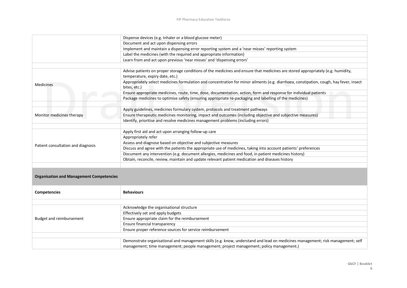|                                    | Document and act upon dispensing errors<br>Implement and maintain a dispensing error reporting system and a 'near misses' reporting system<br>Label the medicines (with the required and appropriate information)<br>Learn from and act upon previous 'near misses' and 'dispensing errors' |
|------------------------------------|---------------------------------------------------------------------------------------------------------------------------------------------------------------------------------------------------------------------------------------------------------------------------------------------|
|                                    |                                                                                                                                                                                                                                                                                             |
|                                    |                                                                                                                                                                                                                                                                                             |
|                                    |                                                                                                                                                                                                                                                                                             |
|                                    |                                                                                                                                                                                                                                                                                             |
|                                    |                                                                                                                                                                                                                                                                                             |
|                                    | Advise patients on proper storage conditions of the medicines and ensure that medicines are stored appropriately (e.g. humidity,<br>temperature, expiry date, etc.)                                                                                                                         |
| <b>Medicines</b>                   | Appropriately select medicines formulation and concentration for minor ailments (e.g. diarrhoea, constipation, cough, hay fever, insect<br>bites, etc.)                                                                                                                                     |
|                                    | Ensure appropriate medicines, route, time, dose, documentation, action, form and response for individual patients                                                                                                                                                                           |
|                                    | Package medicines to optimise safety (ensuring appropriate re-packaging and labelling of the medicines)                                                                                                                                                                                     |
|                                    |                                                                                                                                                                                                                                                                                             |
|                                    | Apply guidelines, medicines formulary system, protocols and treatment pathways                                                                                                                                                                                                              |
| Monitor medicines therapy          | Ensure therapeutic medicines monitoring, impact and outcomes (including objective and subjective measures)                                                                                                                                                                                  |
|                                    | Identify, prioritise and resolve medicines management problems (including errors)                                                                                                                                                                                                           |
|                                    | Apply first aid and act upon arranging follow-up care                                                                                                                                                                                                                                       |
|                                    | Appropriately refer                                                                                                                                                                                                                                                                         |
|                                    | Assess and diagnose based on objective and subjective measures                                                                                                                                                                                                                              |
| Patient consultation and diagnosis | Discuss and agree with the patients the appropriate use of medicines, taking into account patients' preferences                                                                                                                                                                             |
|                                    | Document any intervention (e.g. document allergies, medicines and food, in patient medicines history)                                                                                                                                                                                       |
|                                    | Obtain, reconcile, review, maintain and update relevant patient medication and diseases history                                                                                                                                                                                             |
|                                    |                                                                                                                                                                                                                                                                                             |
|                                    |                                                                                                                                                                                                                                                                                             |

# **Organisation and Management Competencies**

| <b>Competencies</b>      | <b>Behaviours</b>                                                                                                               |  |
|--------------------------|---------------------------------------------------------------------------------------------------------------------------------|--|
|                          |                                                                                                                                 |  |
| Budget and reimbursement | Acknowledge the organisational structure                                                                                        |  |
|                          | Effectively set and apply budgets                                                                                               |  |
|                          | Ensure appropriate claim for the reimbursement                                                                                  |  |
|                          | Ensure financial transparency                                                                                                   |  |
|                          | Ensure proper reference sources for service reimbursement                                                                       |  |
|                          |                                                                                                                                 |  |
|                          | Demonstrate organisational and management skills (e.g. know, understand and lead on medicines management; risk management; self |  |
|                          | management; time management; people management; project management; policy management.)                                         |  |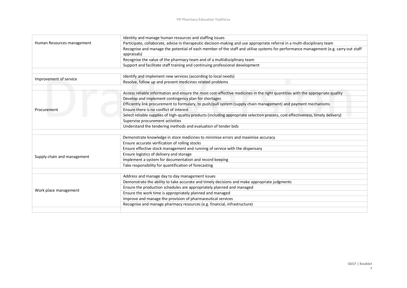| Human Resources management  | Identity and manage human resources and staffing issues                                                                             |
|-----------------------------|-------------------------------------------------------------------------------------------------------------------------------------|
|                             | Participate, collaborate, advise in therapeutic decision-making and use appropriate referral in a multi-disciplinary team           |
|                             | Recognise and manage the potential of each member of the staff and utilise systems for performance management (e.g. carry out staff |
|                             | appraisals)                                                                                                                         |
|                             | Recognise the value of the pharmacy team and of a multidisciplinary team                                                            |
|                             | Support and facilitate staff training and continuing professional development                                                       |
|                             |                                                                                                                                     |
|                             | Identify and implement new services (according to local needs)                                                                      |
| Improvement of service      | Resolve, follow up and prevent medicines related problems                                                                           |
|                             |                                                                                                                                     |
|                             | Access reliable information and ensure the most cost-effective medicines in the right quantities with the appropriate quality       |
|                             | Develop and implement contingency plan for shortages                                                                                |
|                             | Efficiently link procurement to formulary, to push/pull system (supply chain management) and payment mechanisms                     |
| Procurement                 | Ensure there is no conflict of interest                                                                                             |
|                             | Select reliable supplies of high-quality products (including appropriate selection process, cost effectiveness, timely delivery)    |
|                             | Supervise procurement activities                                                                                                    |
|                             | Understand the tendering methods and evaluation of tender bids                                                                      |
|                             |                                                                                                                                     |
|                             | Demonstrate knowledge in store medicines to minimise errors and maximise accuracy                                                   |
|                             | Ensure accurate verification of rolling stocks                                                                                      |
|                             | Ensure effective stock management and running of service with the dispensary                                                        |
|                             | Ensure logistics of delivery and storage                                                                                            |
| Supply chain and management | Implement a system for documentation and record keeping                                                                             |
|                             | Take responsibility for quantification of forecasting                                                                               |
|                             |                                                                                                                                     |
|                             | Address and manage day to day management issues                                                                                     |
|                             | Demonstrate the ability to take accurate and timely decisions and make appropriate judgments                                        |
| Work place management       | Ensure the production schedules are appropriately planned and managed                                                               |
|                             | Ensure the work time is appropriately planned and managed                                                                           |
|                             | Improve and manage the provision of pharmaceutical services                                                                         |
|                             | Recognise and manage pharmacy resources (e.g. financial, infrastructure)                                                            |
|                             |                                                                                                                                     |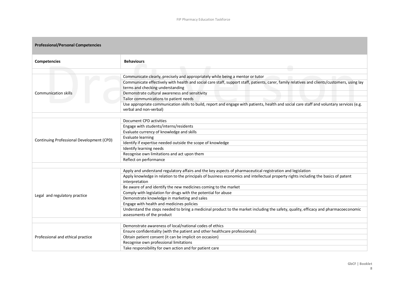**College** 

| <b>Professional/Personal Competencies</b> |                                                                                                                                                                                                                                                                                                                                                                                                                                                                                                                                                                                                                                                                            |  |
|-------------------------------------------|----------------------------------------------------------------------------------------------------------------------------------------------------------------------------------------------------------------------------------------------------------------------------------------------------------------------------------------------------------------------------------------------------------------------------------------------------------------------------------------------------------------------------------------------------------------------------------------------------------------------------------------------------------------------------|--|
| <b>Competencies</b>                       | <b>Behaviours</b>                                                                                                                                                                                                                                                                                                                                                                                                                                                                                                                                                                                                                                                          |  |
| <b>Communication skills</b>               | C.<br>Communicate clearly, precisely and appropriately while being a mentor or tutor<br>Communicate effectively with health and social care staff, support staff, patients, carer, family relatives and clients/customers, using lay<br>terms and checking understanding<br>Demonstrate cultural awareness and sensitivity<br>Tailor communications to patient needs<br>Use appropriate communication skills to build, report and engage with patients, health and social care staff and voluntary services (e.g.                                                                                                                                                          |  |
|                                           | verbal and non-verbal)                                                                                                                                                                                                                                                                                                                                                                                                                                                                                                                                                                                                                                                     |  |
| Continuing Professional Development (CPD) | Document CPD activities<br>Engage with students/interns/residents<br>Evaluate currency of knowledge and skills<br><b>Evaluate learning</b><br>Identify if expertise needed outside the scope of knowledge<br>Identify learning needs<br>Recognise own limitations and act upon them                                                                                                                                                                                                                                                                                                                                                                                        |  |
|                                           | Reflect on performance                                                                                                                                                                                                                                                                                                                                                                                                                                                                                                                                                                                                                                                     |  |
| Legal and regulatory practice             | Apply and understand regulatory affairs and the key aspects of pharmaceutical registration and legislation<br>Apply knowledge in relation to the principals of business economics and intellectual property rights including the basics of patent<br>interpretation<br>Be aware of and identify the new medicines coming to the market<br>Comply with legislation for drugs with the potential for abuse<br>Demonstrate knowledge in marketing and sales<br>Engage with health and medicines policies<br>Understand the steps needed to bring a medicinal product to the market including the safety, quality, efficacy and pharmacoeconomic<br>assessments of the product |  |
|                                           |                                                                                                                                                                                                                                                                                                                                                                                                                                                                                                                                                                                                                                                                            |  |
| Professional and ethical practice         | Demonstrate awareness of local/national codes of ethics<br>Ensure confidentiality (with the patient and other healthcare professionals)<br>Obtain patient consent (it can be implicit on occasion)<br>Recognise own professional limitations<br>Take responsibility for own action and for patient care                                                                                                                                                                                                                                                                                                                                                                    |  |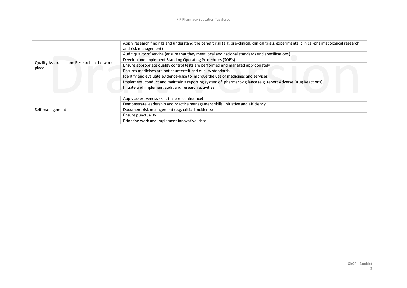| Quality Assurance and Research in the work<br>place | Apply research findings and understand the benefit risk (e.g. pre-clinical, clinical trials, experimental clinical-pharmacological research<br>and risk management) |
|-----------------------------------------------------|---------------------------------------------------------------------------------------------------------------------------------------------------------------------|
|                                                     | Audit quality of service (ensure that they meet local and national standards and specifications)                                                                    |
|                                                     | Develop and implement Standing Operating Procedures (SOP's)                                                                                                         |
|                                                     | Ensure appropriate quality control tests are performed and managed appropriately                                                                                    |
|                                                     | Ensures medicines are not counterfeit and quality standards                                                                                                         |
|                                                     | Identify and evaluate evidence-base to improve the use of medicines and services                                                                                    |
|                                                     | Implement, conduct and maintain a reporting system of pharmacovigilance (e.g. report Adverse Drug Reactions)                                                        |
|                                                     | Initiate and implement audit and research activities                                                                                                                |
|                                                     |                                                                                                                                                                     |
| Self-management                                     | Apply assertiveness skills (inspire confidence)                                                                                                                     |
|                                                     | Demonstrate leadership and practice management skills, initiative and efficiency                                                                                    |
|                                                     | Document risk management (e.g. critical incidents)                                                                                                                  |
|                                                     | Ensure punctuality                                                                                                                                                  |
|                                                     | Prioritise work and implement innovative ideas                                                                                                                      |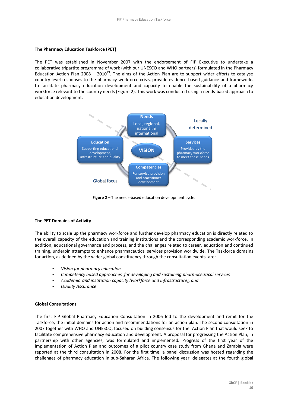# **The Pharmacy Education Taskforce (PET)**

The PET was established in November 2007 with the endorsement of FIP Executive to undertake a collaborative tripartite programme of work (with our UNESCO and WHO partners) formulated in the Pharmacy Education Action Plan 2008 – 2010<sup>19</sup>. The aims of the Action Plan are to support wider efforts to catalyse country level responses to the pharmacy workforce crisis, provide evidence-based guidance and frameworks to facilitate pharmacy education development and capacity to enable the sustainability of a pharmacy workforce relevant to the country needs (Figure 2). This work was conducted using a needs-based approach to education development.



**Figure 2 –** The needs-based education development cycle.

#### **The PET Domains of Activity**

The ability to scale up the pharmacy workforce and further develop pharmacy education is directly related to the overall capacity of the education and training institutions and the corresponding academic workforce. In addition, educational governance and process, and the challenges related to career, education and continued training, underpin attempts to enhance pharmaceutical services provision worldwide. The Taskforce domains for action, as defined by the wider global constituency through the consultation events, are:

- *Vision for pharmacy education*
- *Competency based approaches for developing and sustaining pharmaceutical services*
- Academic and institution capacity (workforce and infrastructure), and
- *Quality Assurance*

## **Global Consultations**

The first FIP Global Pharmacy Education Consultation in 2006 led to the development and remit for the Taskforce, the initial domains for action and recommendations for an action plan. The second consultation in 2007 together with WHO and UNESCO, focused on building consensus for the Action Plan that would seek to facilitate comprehensive pharmacy education and development. A proposal for progressing the Action Plan, in partnership with other agencies, was formulated and implemented. Progress of the first year of the implementation of Action Plan and outcomes of a pilot country case study from Ghana and Zambia were reported at the third consultation in 2008. For the first time, a panel discussion was hosted regarding the challenges of pharmacy education in sub-Saharan Africa. The following year, delegates at the fourth global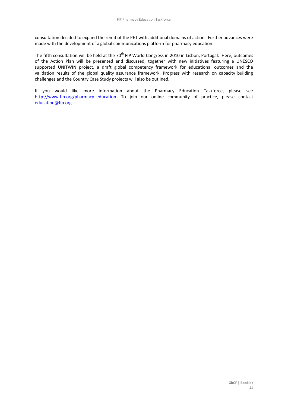consultation decided to expand the remit of the PET with additional domains of action. Further advances were made with the development of a global communications platform for pharmacy education.

The fifth consultation will be held at the 70<sup>th</sup> FIP World Congress in 2010 in Lisbon, Portugal. Here, outcomes of the Action Plan will be presented and discussed, together with new initiatives featuring a UNESCO supported UNITWIN project, a draft global competency framework for educational outcomes and the validation results of the global quality assurance framework. Progress with research on capacity building challenges and the Country Case Study projects will also be outlined.

If you would like more information about the Pharmacy Education Taskforce, please see http://www.fip.org/pharmacy education</u>. To join our online community of practice, please contact [education@fip.org.](mailto:education@fip.org)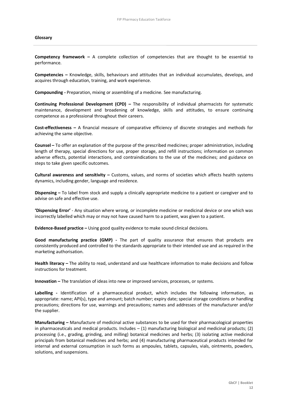#### **Glossary**

**Competency framework –** A complete collection of competencies that are thought to be essential to performance.

**Competencies –** Knowledge, skills, behaviours and attitudes that an individual accumulates, develops, and acquires through education, training, and work experience.

**Compounding -** Preparation, mixing or assembling of a medicine. See manufacturing.

**Continuing Professional Development (CPD) –** The responsibility of individual pharmacists for systematic maintenance, development and broadening of knowledge, skills and attitudes, to ensure continuing competence as a professional throughout their careers.

**Cost-effectiveness –** A financial measure of comparative efficiency of discrete strategies and methods for achieving the same objective.

**Counsel –** To offer an explanation of the purpose of the prescribed medicines; proper administration, including length of therapy, special directions for use, proper storage, and refill instructions; information on common adverse effects, potential interactions, and contraindications to the use of the medicines; and guidance on steps to take given specific outcomes.

**Cultural awareness and sensitivity –** Customs, values, and norms of societies which affects health systems dynamics, including gender, language and residence.

**Dispensing –** To label from stock and supply a clinically appropriate medicine to a patient or caregiver and to advise on safe and effective use.

**'Dispensing Error'** - Any situation where wrong, or incomplete medicine or medicinal device or one which was incorrectly labelled which may or may not have caused harm to a patient, was given to a patient.

**Evidence-Based practice –** Using good quality evidence to make sound clinical decisions.

**Good manufacturing practice (GMP) -** The part of quality assurance that ensures that products are consistently produced and controlled to the standards appropriate to their intended use and as required in the marketing authorisation.

**Health literacy –** The ability to read, understand and use healthcare information to make decisions and follow instructions for treatment.

**Innovation –** The translation of ideas into new or improved services, processes, or systems.

**Labelling -** Identification of a pharmaceutical product, which includes the following information, as appropriate: name; API(s), type and amount; batch number; expiry date; special storage conditions or handling precautions; directions for use, warnings and precautions; names and addresses of the manufacturer and/or the supplier.

**Manufacturing –** Manufacture of medicinal active substances to be used for their pharmacological properties in pharmaceuticals and medical products. Includes – (1) manufacturing biological and medicinal products; (2) processing (i.e., grading, grinding, and milling) botanical medicines and herbs; (3) isolating active medicinal principals from botanical medicines and herbs; and (4) manufacturing pharmaceutical products intended for internal and external consumption in such forms as ampoules, tablets, capsules, vials, ointments, powders, solutions, and suspensions.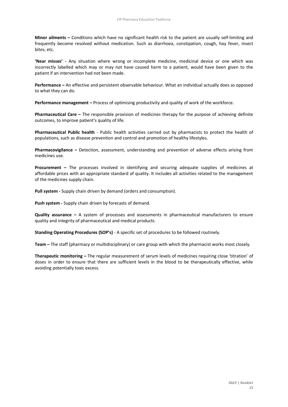**Minor ailments –** Conditions which have no significant health risk to the patient are usually self-limiting and frequently become resolved without medication. Such as diarrhoea, constipation, cough, hay fever, insect bites, etc.

**'Near misses' -** Any situation where wrong or incomplete medicine, medicinal device or one which was incorrectly labelled which may or may not have caused harm to a patient, would have been given to the patient if an intervention had not been made.

**Performance –** An effective and persistent observable behaviour. What an individual actually does as opposed to what they can do.

**Performance management –** Process of optimising productivity and quality of work of the workforce.

**Pharmaceutical Care –** The responsible provision of medicines therapy for the purpose of achieving definite outcomes, to improve patient's quality of life.

**Pharmaceutical Public health** - Public health activities carried out by pharmacists to protect the health of populations, such as disease prevention and control and promotion of healthy lifestyles.

**Pharmacovigilance –** Detection, assessment, understanding and prevention of adverse effects arising from medicines use.

**Procurement –** The processes involved in identifying and securing adequate supplies of medicines at affordable prices with an appropriate standard of quality. It includes all activities related to the management of the medicines supply chain.

**Pull system -** Supply chain driven by demand (orders and consumption).

**Push system -** Supply chain driven by forecasts of demand.

**Quality assurance –** A system of processes and assessments in pharmaceutical manufacturers to ensure quality and integrity of pharmaceutical and medical products.

**Standing Operating Procedures (SOP's)** - A specific set of procedures to be followed routinely.

**Team –** The staff (pharmacy or multidisciplinary) or care group with which the pharmacist works most closely.

**Therapeutic monitoring –** The regular measurement of serum levels of medicines requiring close 'titration' of doses in order to ensure that there are sufficient levels in the blood to be therapeutically effective, while avoiding potentially toxic excess.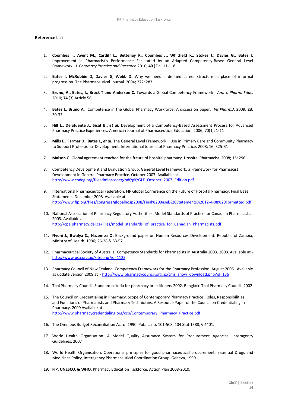# **Reference List**

- 1. **Coombes I., Avent M., Cardiff L., Bettenay K., Coombes J., Whitfield K., Stokes J., Davies G., Bates I.**  Improvement in Pharmacist's Performance Facilitated by an Adapted Competency-Based General Level Framework. *J. Pharmacy Practice and Research* 2010; **40** (2): 111-118.
- 2. **Bates I, McRobbie D, Davies G, Webb D.** Why we need a defined career structure in place of informal progression. The Pharmaceutical Journal. 2004; 272: 283
- 3. **Bruno, A., Bates, I., Brock T and Anderson C.** Towards a Global Competency Framework. *Am. J. Pharm. Educ.* 2010; **74** (3) Article 56.
- 4. **Bates I., Bruno A.** Competence in the Global Pharmacy Workforce. A discussion paper. *Int.Pharm.J*. 2009, **23**: 30-33
- 5. **Hill L., Delafuente J., Sicat B.,** *et al***.** Development of a Competency-Based Assessment Process for Advanced Pharmacy Practice Experiences. American Journal of Pharmaceutical Education. 2006; 70(1): 1-11
- 6. **Mills E., Farmer D., Bates I.,** *et al***.** The General Level Framework Use in Primary Care and Community Pharmacy to Support Professional Development. International Journal of Pharmacy Practice. 2008; 16: 325-31
- 7. **Malson G**. Global agreement reached for the future of hospital pharmacy. Hospital Pharmacist. 2008; 15: 296
- 8. Competency Development and Evaluation Group. General Level Framework, a Framework for Pharmacist Development in General Pharmacy Practice. October 2007. Available at [http://www.codeg.org/fileadmin/codeg/pdf/glf/GLF\\_October\\_2007\\_Edition.pdf](http://www.codeg.org/fileadmin/codeg/pdf/glf/GLF_October_2007_Edition.pdf)
- 9. International Pharmaceutical Federation. FIP Global Conference on the Future of Hospital Pharmacy, Final Basel Statements. December 2008. Available at <http://www.fip.org/files/congress/globalhosp2008/Final%20Basel%20Statements%2012-4-08%20Formatted.pdf>
- 10. National Association of Pharmacy Regulatory Authorities. Model Standards of Practice for Canadian Pharmacists. 2003. Available at [http://cpe.pharmacy.dal.ca/Files/model\\_standards\\_of\\_practice\\_for\\_Canadian\\_Pharmacists.pdf](http://cpe.pharmacy.dal.ca/Files/model_standards_of_practice_for_Canadian_Pharmacists.pdf)
- 11. **Nyoni J., Bwalya C., Hazemba O.** Background paper on Human Resources Development. Republic of Zambia, Ministry of Health. 1996; 26-28 & 53-57
- 12. Pharmaceutical Society of Australia. Competency Standards for Pharmacists in Australia 2003. 2003. Available at <http://www.psa.org.au/site.php?id=1123>
- 13. Pharmacy Council of New Zealand. Competency Framework for the Pharmacy Profession. August 2006. Available as update version 2009 at - [http://www.pharmacycouncil.org.nz/cms\\_show\\_download.php?id=136](http://www.pharmacycouncil.org.nz/cms_show_download.php?id=136)
- 14. Thai Pharmacy Council. Standard criteria for pharmacy practitioners 2002. Bangkok: Thai Pharmacy Council. 2002
- 15. The Council on Credentialing in Pharmacy. Scope of Contemporary Pharmacy Practice: Roles, Responsibilities, and Functions of Pharmacists and Pharmacy Technicians. A Resource Paper of the Council on Credentialing in Pharmacy. 2009 Available at [http://www.pharmacycredentialing.org/ccp/Contemporary\\_Pharmacy\\_Practice.pdf](http://www.pharmacycredentialing.org/ccp/Contemporary_Pharmacy_Practice.pdf)
- 16. The Omnibus Budget Reconciliation Act of 1990. Pub. L. no. 101-508, 104 Stat 1388, § 4401.
- 17. World Health Organisation. A Model Quality Assurance System for Procurement Agencies, Interagency Guidelines. 2007
- 18. World Health Organisation. Operational principles for good pharmaceutical procurement. Essential Drugs and Medicines Policy, Interagency Pharmaceutical Coordination Group. Geneva, 1999
- 19. **FIP, UNESCO, & WHO**. Pharmacy Education Taskforce, Action Plan 2008-2010.